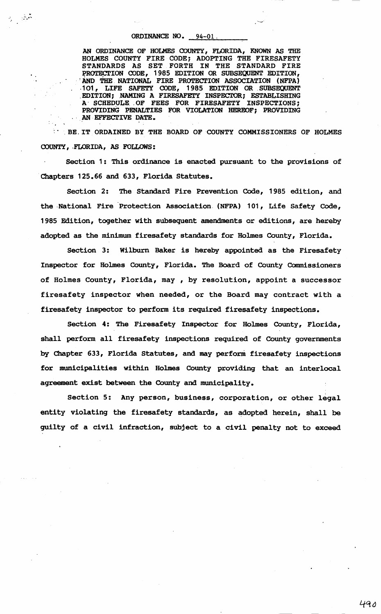. .

 $\label{eq:2} \frac{1}{\sqrt{2}}\sum_{i=1}^N\frac{1}{\sqrt{2}}\sum_{i=1}^N\frac{1}{\sqrt{2}}\sum_{i=1}^N\frac{1}{\sqrt{2}}\sum_{i=1}^N\frac{1}{\sqrt{2}}\sum_{i=1}^N\frac{1}{\sqrt{2}}\sum_{i=1}^N\frac{1}{\sqrt{2}}\sum_{i=1}^N\frac{1}{\sqrt{2}}\sum_{i=1}^N\frac{1}{\sqrt{2}}\sum_{i=1}^N\frac{1}{\sqrt{2}}\sum_{i=1}^N\frac{1}{\sqrt{2}}\sum_{i=1}^N\frac{1$ 

ORDINANCE NO.  $94-01$ .<br>AN ORDINANCE OF HOLMES COUNTY, FLORIDA, KNOWN AS THE HOLMES COUNTY FIRE CODE; ADOPTING THE FIRESAFETY STANDARDS AS SET FORTH IN THE STANDARD FIRE PROTECTION CODE, 1985 EDITION OR SUBSEQUENT EDITION, <br>
NO THE NATIONAL FIRE PROTECTION ASSOCIATION (NFPA)<br>
101, LIFE SAFETY CODE, 1985 EDITION OR SUBSEQUENT .EDITION; .NAMING A FIRESAFETY INSPECTOR; ESTABLISHING A SCHEDULE OF FEES FOR FIRESAFETY INSPECTIONS; PROVIDING PENALTIES FOR VIOLATION HEREOF; PROVIDING AN EFFECTIVE DATE.

.. . BE.IT ORDAINED BY THE BOARD OF COUNTY COMMISSIONERS OF HOLMES COUNTY, FLORIDA, AS FOLLOWS:

Section 1: This ordinance is enacted pursuant to the provisions of Chapters 125.66 and 633, Florida Statutes.

Section 2: The Standard Fire Prevention Code, 1985 edition, and the ,National Fire Protection Association. (NFPA) 101, Life Safety Code, 1985 Edition, together with subsequent amendments or editions, are hereby adopted as the minimum firesafety standards for Holmes County, Florida.

Section 3: Wilburn Baker is hereby appointed as the Firesafety Inspector for Holmes County, Florida. The Board of County Commissioners of Holmes County, Florida, may , by resolution, appoint a successor firesafety inspector when needed, or the Board may contract with a firesafety inspector to perform its required firesafety inspections.

Section 4: The Firesafety Inspector for Holmes County, Florida, shall perform all firesafety inspections required of County governments by Chapter 633, Florida Statutes, and may perform firesafety inspections for municipalities within Holmes County providing that an interlocal agreement exist between the County and municipality.

Section 5: Any person, business, corporation, or other legal entity violating the firesafety standards, as adopted herein, shall be guilty of a civil infraction, subject to a civil penalty not to exceed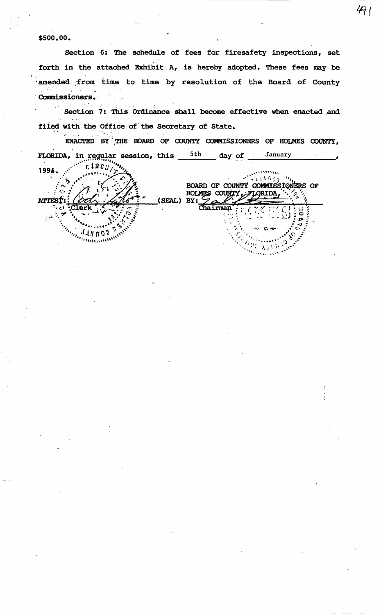## \$500.00.

Section 6: The schedule of fees for firesafety inspections, set forth in the attached Exhibit  $A$ , is hereby adopted. These fees may be amended from time to time by resolution of the Board of County Commissioners.

 $491$ 

Section 7: This Ordinance shall become effective when enacted and filed with the Office of the Secretary of State.

ENACTED BY THE BOARD OF COUNTY COMMISSIONERS OF HOLMES COUNTY, FLORIDA, in regular session, this  $5th$  day of January  $c$  1 R  $c$   $\mu$ 199A. vinia -እ BOARD OF COUNTY COMMISSIONERS OF C. HOLMES COUNTY UFLORIDA, (SEAL) BY: **ATTES**  $Chairman$  $\begin{bmatrix} 1 \\ 1 \\ 2 \end{bmatrix} \begin{bmatrix} 1 \\ 0 \\ 0 \\ 0 \end{bmatrix}$  $\sim$ connel. mmuni  $\sigma_{\mathcal{L},\chi_{\mathcal{A}},\chi}$